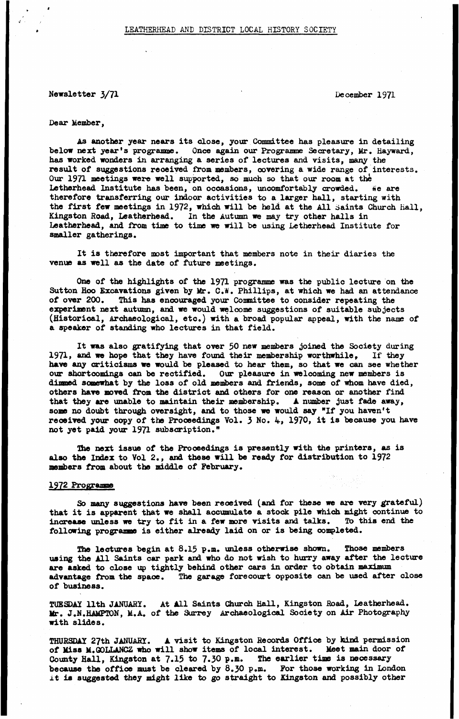# **Newsletter 3/71** December 1971

## **Dear Member,**

**As another year nears its close, your Committee has pleasure in detailing below next year's programme. Once again our Programme Secretary, Mr. Hayward, has worked wonders in arranging a series of lectures and visits, many the result of suggestions received from members, covering a wide range of interests. Our 1971 meetings were well supported, so much so that our room at the Letherhead Institute has been, on occasions, uncomfortably crowded. We are therefore transferring our indoor activities to a larger hall, starting with the first few meetings in 1972, which will be held at the All Saints Church Hall, Kingston Hoad, Leatherhead. In the Autumn we may try other halls in Leatherhead, and from time to time we will be using Letherhead Institute for smaller gatherings.**

**It is therefore most important that members note in their diaries the venue as well as the date of future meetings.**

**One of the highlights of the 1971 programme was the public lecture on the** Sutton Hoo Excavations given by Mr. C.W. Phillips, at which we had an attendance of over 200. This has encouraged your Committee to consider repeating the This has encouraged your Committee to consider repeating the **experiment next autumn, and we would welcome suggestions of suitable subjects (Historical, Archaeological, etc.) with a broad popular appeal, with the name of a speaker of standing who lectures in that field.**

**It was also gratifying that over 50 new members joined the Society during 1971, and we hope that they have found their membership worthwhile,** If they **have any criticisms we would be pleased to hear them, so that we can see whether our shortcomings can be rectified. Our pleasure in welcoming new members is dinned somewhat by the loss of old members and friends, some of whom have died, others have moved from the district and others for one reason or another find that they are unable to maintain their membership. A number just fade away, some no douibt through oversight, and to those we would say "If you haven't received your copy of the Proceedings Vol. 3 No. 4, 1970, it is because you have not yet paid your 1971 subscription."**

**The next issue of the Proceedings is presently with the printers, as is also the Index to Vol 2., and these will be ready for distribution to 1972 members from about the middle of February.**

# **1972 Prograane**

**So many suggestions have been received (and for these we are very grateful) that it is apparent that we shall accumulate a stock pile which might continue to increase unless we try to fit in a few more visits and talks. To this end the following programme is either already laid on or is being completed.**

**33m lectures begin at 8.15 p.m. unless otherwise shown. Those members using the All Saints car park and who do not wish to hurry away after the lecture** are asked to close up tightly behind other cars in order to obtain maximum **advantage from the space. The garage forecourt opposite can be used after close of business.**

**TUESDAY 11th JANUARY. At All Saints Church Hall, Kingston Road, Leatherhead. Mr. J.N.HAMPTON, M.A. of the Surrey Archaeological Society on Air Photography with slides.**

**THURSDAY 27th JANUARY.** A visit to Kingston Records Office by kind permission **of Miss M.GOLLANCZ who will show items of local interest. Meet main door of County Hall, Kingston at 7.15 to 7.30 p.m. The earlier time is necessary because the office must be cleared by 8.30 p.m. For those working in London it is suggested they might like to go straight to Kingston and possibly other**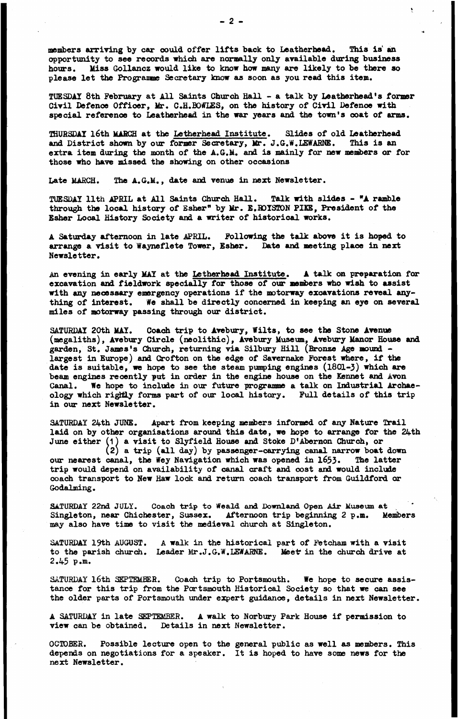**members arriving by car could offer lifts back to Leatherhead. This is an opportunity to see records which are normally only available during business hours. Miss Gollancz would like to know how many are likely to be there so** please let the Programme Secretary know as soon as you read this item.

**TUESDAY 8th February at All Saints Church Hall - a talk by Leatherhead's former Civil Defence Officer, Ur. C.H.BOWLES, on the history of Civil Defence with special reference to Leatherhead in the war years and the town's coat of arms.**

**THURSDAY l6th MARCH at the Letherhead Institute. Slides of old Leatherhead and District shown by our former Secretary, Mr. J.G.W.LEWARNE. This is an extra item during the month of the A.G.M. and is mainly for new members or for those who have missed the showing on other occasions**

**Late MARCH. The A.G.M., date and venue in next Newsletter.**

**TUESDAY 11th APRIL at All Saints Church Hall. Talk with slides - "A ramble through the local history of Esher" by Ur. E.ROYSTON PIKE, President of the Esher Local History Society and a writer of historical works.**

**A Saturday afternoon in late APRIL. Following the talk above it is hoped to arrange a visit to Waynefiete Tower, Esher. Date and meeting place in next Newsletter.**

**An evening in early MAY at the Letherhead Institute. A talk on preparation for** excavation and fieldwork specially for those of our members who wish to assist **with any necessary emergency operations if the motorway excavations reveal anything of interest. We shall be directly concerned in keeping an eye on several miles of motorway passing through our district.**

**SATURDAY 20th MAY. Coach trip to Avebury, Wilts, to see the Stone Avenue (megaliths), Avebury Circle (neolithic), Avebury Museum, Avebury Manor House and garden, St. James's Church, returning via Silbury Hill (Bronze Age mound largest in Europe) and Crofton on the edge of Savernake Forest where, if the date is suitable, we hope to see the steam pumping engines (1801-3) which are beam engines recently put in order in the engine house on the Rennet and Avon Canal. We hope to include in our future programme a talk on Industrial Archaeology which rigttiy forms part of our local history. Full details of this trip in our next Newsletter.**

**SATURDAY 24th JUNE. Apart from keeping members informed of any Nature Trail laid on by other organisations around this date, we hope to arrange for the 24th June either (1***)* **a visit to Slyfield House and Stoke D'Abernon Church, or**

**(2) a trip (all day) by passenger-carrying canal narrow boat down** our nearest canal, the Wey Navigation which was opened in 1653. The latter **trip would depend on availability of canal craft and cost and would include coach transport to New Haw lock and return coach transport from Guildford or Godalming.**

**SATURDAY 22nd JULY. Coach trip to Weald and Downland Open Air Museum at Singleton, near Chichester, Sussex. Afternoon trip beginning 2 p.m. Members may also have time to visit the medieval church at Singleton.**

**SATURDAY 19th AUGUST. A walk in the historical part of Fetcham with a visit** to the parish church. Leader Mr.J.G.W.LEWARNE. Meet in the church drive at **2.45 p.m.**

**SATURDAY l6th SEPTEMBER. Coach trip to Portsmouth. We hope to secure assistance for this trip from the Portsmouth Historical Society so that we can see the older parts of Portsmouth under expert guidance, details in next Newsletter.**

**A SATURDAY in late SEPTEMBER. A walk to Norbury Park House if permission to view can be obtained. Details in next Newsletter.**

**OCTOBER. Possible lecture open to the general public as well as members. This depends on negotiations for a speaker. It is hoped to have some news for the next Newsletter.**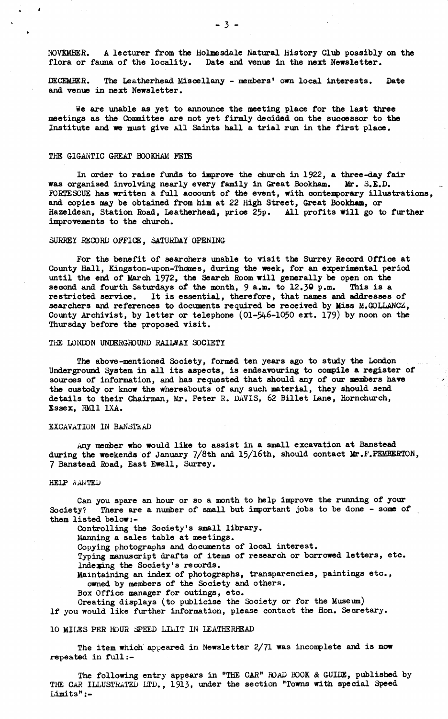**NOVEMBER. A lecturer from the Holmesdale Natural History Club possibly on the flora or fauna of the locality. Date and venue in the next Newsletter.**

DECEMBER. The Leatherhead Miscellany - members<sup>t</sup> own local interests. Date **and venue in next Newsletter.**

**We are unable as yet to announce the meeting place for the last three meetings as the Committee are not yet firmly decided on the sucoessor to the Institute and we must give All Saints hall a trial run in the first place.**

### **THE GIGANTIC GREAT BOOKHAM FETE**

1

**In order to raise funds to improve the church in** *1322,* **a three-day fair was organised involving nearly every family in Great Bookham. Mr. 3.E.D. FORTESCUE has written a full account of the event, with contemporary illustrations, and copies may be obtained from him at 22 High Street, Great Bookham, or Hazeldean, Station Road, Leatherhead, price 25p. All profits will go to further improvements to the church.**

### **SURREY RECORD OFFICE, SATURDAY OPENING**

**For the benefit of searchers unable to visit the Surrey Record Office at County Hall, Kingston-upon-Thames, during the week, for an experimental period until the end of March 1972, the Search Room will generally be open on the second and fourth Saturdays of the month, 9 a.m. to 12.30 p.m. This is a restricted service. It is essential, therefore, that names and addresses of searchers and references to documents required be received by Miss M.GOLLANCZ, County Archivist, by letter or telephone (01-546-1050 ext. 179) by noon on the Thursday before the proposed visit.**

# **THE LONDON UNDERGROUND RAILWAY SOCIETY**

**The above-mentioned Society, formed ten years ago to study the London Underground System in all its aspects, is endeavouring to compile a register of sources of information, and has requested that should any of our members have the custody or know the whereabouts of any such material, they should send details to their Chairman, Mr. Peter R. DAVIS, 62 Billet Lane, Hornchurch, Essex, RM11 1XA.**

#### **EXCAVATION IN Ba NSTLAD**

**Any member who would like to assist in a small excavation at Banstead during the weekends of January 7/8th and 15/l6th, should contact Mr.F.PEMBERTON, 7 Banstead Road, East Ewell, Surrey.**

### **HELP WAMTED**

**Can you spare an hour or so a month to help improve the running of your Society? There are a number of small but important jobs to be done - some of them listed below**

**Controlling the Society's small library.**

**Manning a sales table at meetings.**

**Copying photographs and documents of local interest.**

**Typing manuscript drafts of items of research or borrowed letters, etc. Indexing the Society's records.**

**Maintaining an index of photographs, transparencies, paintings etc., owned by members of the Society and others.**

**Box Office manager for outings, etc.**

**Creating displays (to publicise the Society or for the Museum) If you would like further information, please contact the Hon. Secretary.**

### **10 MILES PER HOUR SPEED LIMIT IN LEATHERHEAD**

**The item which' appeared in Newsletter 2/71 was incomplete and is now repeated in full**

The following entry appears in "THE CAR" ROAD BOOK & GUIDE, published by **THE CAR ILLUSTRATED LTD., 1913, under the section "Towns with special Speed Limits":-**

**- 3 -**